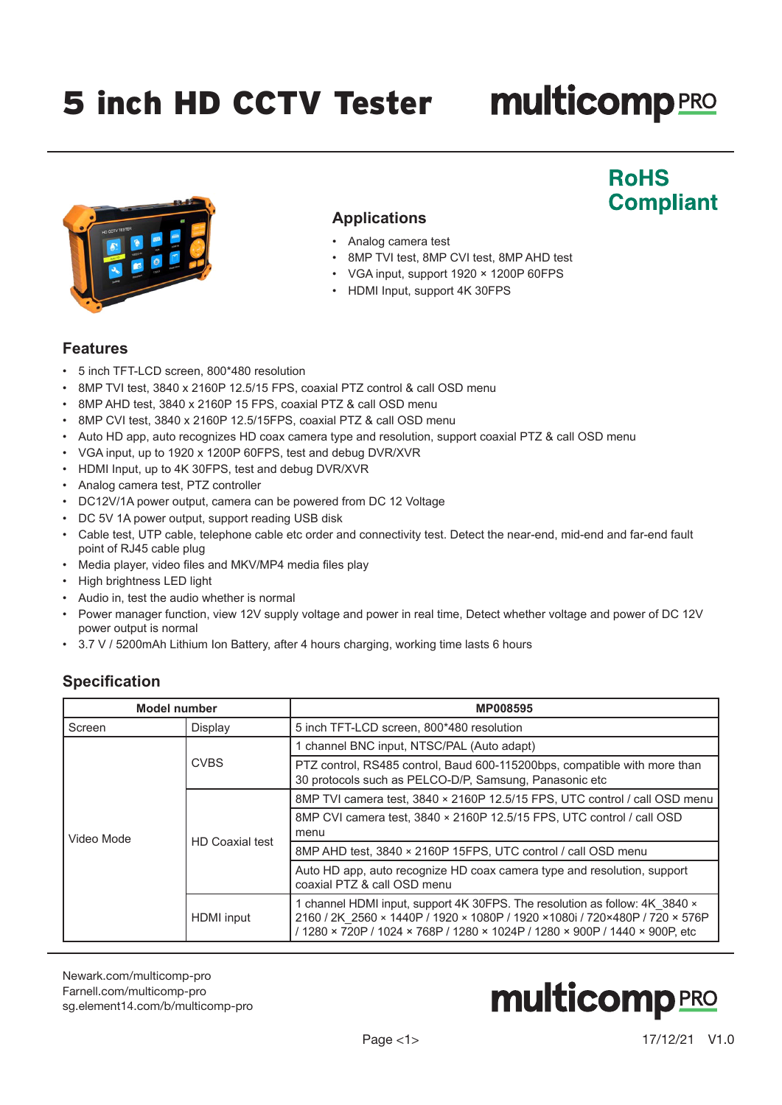## 5 inch HD CCTV Tester

# **multicomp**PRO

**RoHS** 

**Compliant** 



### **Applications**

- Analog camera test
- 8MP TVI test, 8MP CVI test, 8MP AHD test
- VGA input, support 1920 × 1200P 60FPS
- HDMI Input, support 4K 30FPS

#### **Features**

- 5 inch TFT-LCD screen, 800\*480 resolution
- 8MP TVI test, 3840 x 2160P 12.5/15 FPS, coaxial PTZ control & call OSD menu
- 8MP AHD test, 3840 x 2160P 15 FPS, coaxial PTZ & call OSD menu
- 8MP CVI test, 3840 x 2160P 12.5/15FPS, coaxial PTZ & call OSD menu
- Auto HD app, auto recognizes HD coax camera type and resolution, support coaxial PTZ & call OSD menu
- VGA input, up to 1920 x 1200P 60FPS, test and debug DVR/XVR
- HDMI Input, up to 4K 30FPS, test and debug DVR/XVR
- Analog camera test, PTZ controller
- DC12V/1A power output, camera can be powered from DC 12 Voltage
- DC 5V 1A power output, support reading USB disk
- Cable test, UTP cable, telephone cable etc order and connectivity test. Detect the near-end, mid-end and far-end fault point of RJ45 cable plug
- Media player, video files and MKV/MP4 media files play
- High brightness LED light
- Audio in, test the audio whether is normal
- Power manager function, view 12V supply voltage and power in real time, Detect whether voltage and power of DC 12V power output is normal
- 3.7 V / 5200mAh Lithium Ion Battery, after 4 hours charging, working time lasts 6 hours

#### **Specification**

| <b>Model number</b> |                        | <b>MP008595</b>                                                                                                                                                                                                                            |  |  |
|---------------------|------------------------|--------------------------------------------------------------------------------------------------------------------------------------------------------------------------------------------------------------------------------------------|--|--|
| Screen              | Display                | 5 inch TFT-LCD screen, 800*480 resolution                                                                                                                                                                                                  |  |  |
| Video Mode          | <b>CVBS</b>            | 1 channel BNC input, NTSC/PAL (Auto adapt)                                                                                                                                                                                                 |  |  |
|                     |                        | PTZ control, RS485 control, Baud 600-115200bps, compatible with more than<br>30 protocols such as PELCO-D/P, Samsung, Panasonic etc                                                                                                        |  |  |
|                     | <b>HD</b> Coaxial test | 8MP TVI camera test, 3840 × 2160P 12.5/15 FPS, UTC control / call OSD menu                                                                                                                                                                 |  |  |
|                     |                        | 8MP CVI camera test, 3840 × 2160P 12.5/15 FPS, UTC control / call OSD<br>menu                                                                                                                                                              |  |  |
|                     |                        | 8MP AHD test, 3840 × 2160P 15FPS, UTC control / call OSD menu                                                                                                                                                                              |  |  |
|                     |                        | Auto HD app, auto recognize HD coax camera type and resolution, support<br>coaxial PTZ & call OSD menu                                                                                                                                     |  |  |
|                     | HDMI input             | 1 channel HDMI input, support 4K 30FPS. The resolution as follow: 4K 3840 x<br>2160 / 2K 2560 × 1440P / 1920 × 1080P / 1920 × 1080i / 720×480P / 720 × 576P<br>/ 1280 × 720P / 1024 × 768P / 1280 × 1024P / 1280 × 900P / 1440 × 900P, etc |  |  |

[Newark.com/multicomp-](https://www.newark.com/multicomp-pro)pro [Farnell.com/multicomp](https://www.farnell.com/multicomp-pro)-pro [sg.element14.com/b/multicomp-pro](https://sg.element14.com/b/multicomp-pro)